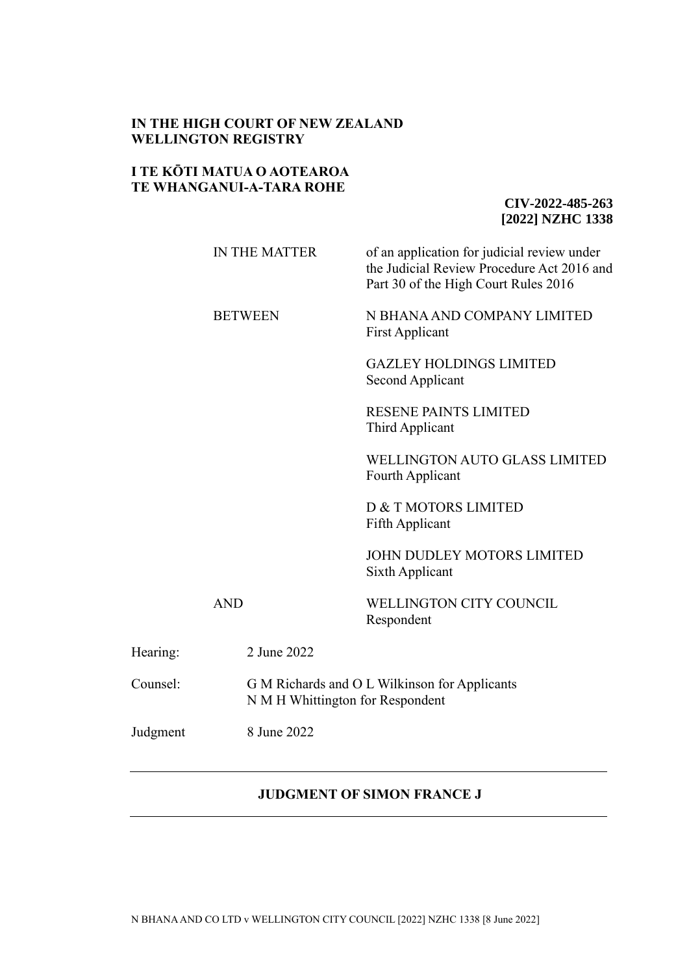## **IN THE HIGH COURT OF NEW ZEALAND WELLINGTON REGISTRY**

## **I TE KŌTI MATUA O AOTEAROA TE WHANGANUI-A-TARA ROHE**

**CIV-2022-485-263 [2022] NZHC 1338**

|          | <b>IN THE MATTER</b> | of an application for judicial review under<br>the Judicial Review Procedure Act 2016 and<br>Part 30 of the High Court Rules 2016 |  |
|----------|----------------------|-----------------------------------------------------------------------------------------------------------------------------------|--|
|          | <b>BETWEEN</b>       | N BHANA AND COMPANY LIMITED<br><b>First Applicant</b>                                                                             |  |
|          |                      | <b>GAZLEY HOLDINGS LIMITED</b><br>Second Applicant                                                                                |  |
|          |                      | <b>RESENE PAINTS LIMITED</b><br>Third Applicant                                                                                   |  |
|          |                      | <b>WELLINGTON AUTO GLASS LIMITED</b><br>Fourth Applicant                                                                          |  |
|          |                      | D & T MOTORS LIMITED<br>Fifth Applicant                                                                                           |  |
|          |                      | <b>JOHN DUDLEY MOTORS LIMITED</b><br>Sixth Applicant                                                                              |  |
|          | <b>AND</b>           | WELLINGTON CITY COUNCIL<br>Respondent                                                                                             |  |
| Hearing: | 2 June 2022          |                                                                                                                                   |  |
| Counsel: |                      | G M Richards and O L Wilkinson for Applicants<br>N M H Whittington for Respondent                                                 |  |
| Judgment | 8 June 2022          |                                                                                                                                   |  |

# **JUDGMENT OF SIMON FRANCE J**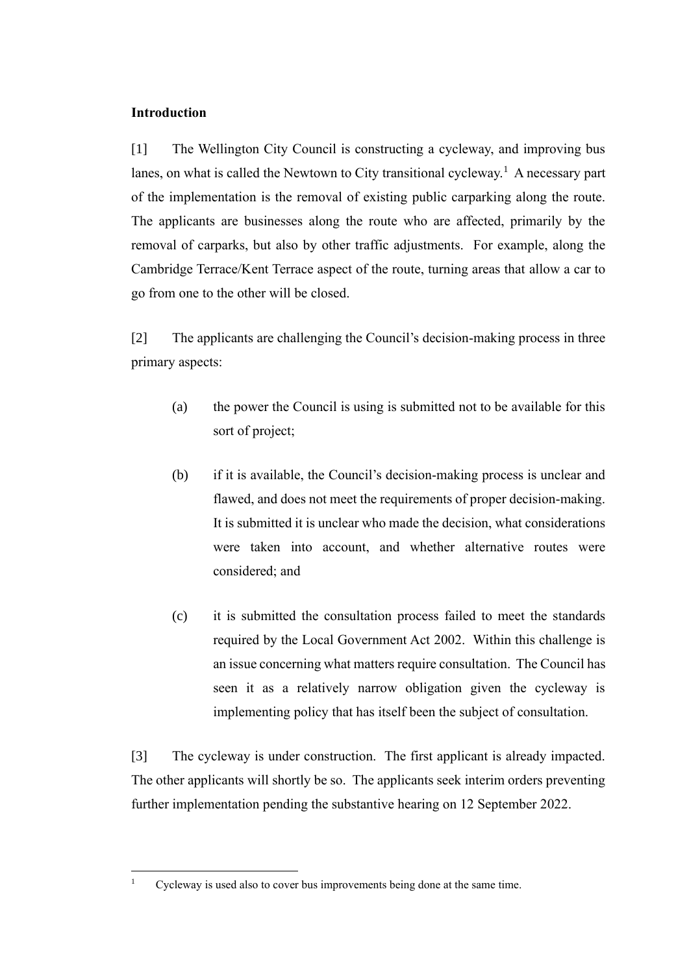## **Introduction**

[1] The Wellington City Council is constructing a cycleway, and improving bus lanes, on what is called the Newtown to City transitional cycleway.<sup>1</sup> A necessary part of the implementation is the removal of existing public carparking along the route. The applicants are businesses along the route who are affected, primarily by the removal of carparks, but also by other traffic adjustments. For example, along the Cambridge Terrace/Kent Terrace aspect of the route, turning areas that allow a car to go from one to the other will be closed.

[2] The applicants are challenging the Council's decision-making process in three primary aspects:

- (a) the power the Council is using is submitted not to be available for this sort of project;
- (b) if it is available, the Council's decision-making process is unclear and flawed, and does not meet the requirements of proper decision-making. It is submitted it is unclear who made the decision, what considerations were taken into account, and whether alternative routes were considered; and
- (c) it is submitted the consultation process failed to meet the standards required by the Local Government Act 2002. Within this challenge is an issue concerning what matters require consultation. The Council has seen it as a relatively narrow obligation given the cycleway is implementing policy that has itself been the subject of consultation.

[3] The cycleway is under construction. The first applicant is already impacted. The other applicants will shortly be so. The applicants seek interim orders preventing further implementation pending the substantive hearing on 12 September 2022.

<sup>&</sup>lt;sup>1</sup> Cycleway is used also to cover bus improvements being done at the same time.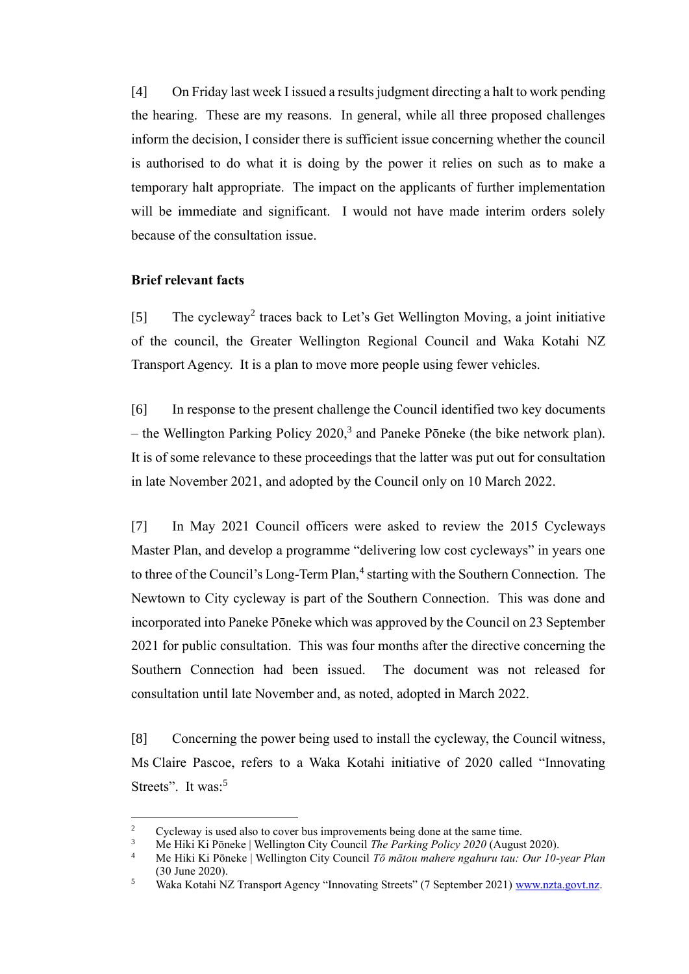[4] On Friday last week I issued a results judgment directing a halt to work pending the hearing. These are my reasons. In general, while all three proposed challenges inform the decision, I consider there is sufficient issue concerning whether the council is authorised to do what it is doing by the power it relies on such as to make a temporary halt appropriate. The impact on the applicants of further implementation will be immediate and significant. I would not have made interim orders solely because of the consultation issue.

#### **Brief relevant facts**

[5] The cycleway<sup>2</sup> traces back to Let's Get Wellington Moving, a joint initiative of the council, the Greater Wellington Regional Council and Waka Kotahi NZ Transport Agency. It is a plan to move more people using fewer vehicles.

[6] In response to the present challenge the Council identified two key documents – the Wellington Parking Policy  $2020$ ,<sup>3</sup> and Paneke Pōneke (the bike network plan). It is of some relevance to these proceedings that the latter was put out for consultation in late November 2021, and adopted by the Council only on 10 March 2022.

[7] In May 2021 Council officers were asked to review the 2015 Cycleways Master Plan, and develop a programme "delivering low cost cycleways" in years one to three of the Council's Long-Term Plan,<sup>4</sup> starting with the Southern Connection. The Newtown to City cycleway is part of the Southern Connection. This was done and incorporated into Paneke Pōneke which was approved by the Council on 23 September 2021 for public consultation. This was four months after the directive concerning the Southern Connection had been issued. The document was not released for consultation until late November and, as noted, adopted in March 2022.

[8] Concerning the power being used to install the cycleway, the Council witness, Ms Claire Pascoe, refers to a Waka Kotahi initiative of 2020 called "Innovating Streets". It was:<sup>5</sup>

<sup>&</sup>lt;sup>2</sup> Cycleway is used also to cover bus improvements being done at the same time.<br><sup>3</sup> Me Hilri *V*: Bangles | Wellington City Council *The Barking Boligy* 2020 (Aygue

<sup>3</sup> Me Hiki Ki Pōneke | Wellington City Council *The Parking Policy 2020* (August 2020).

<sup>4</sup> Me Hiki Ki Pōneke | Wellington City Council *Tō mātou mahere ngahuru tau: Our 10-year Plan* (30 June 2020).

<sup>&</sup>lt;sup>5</sup> Waka Kotahi NZ Transport Agency "Innovating Streets" (7 September 2021) [www.nzta.govt.nz.](http://www.nzta.govt.nz/)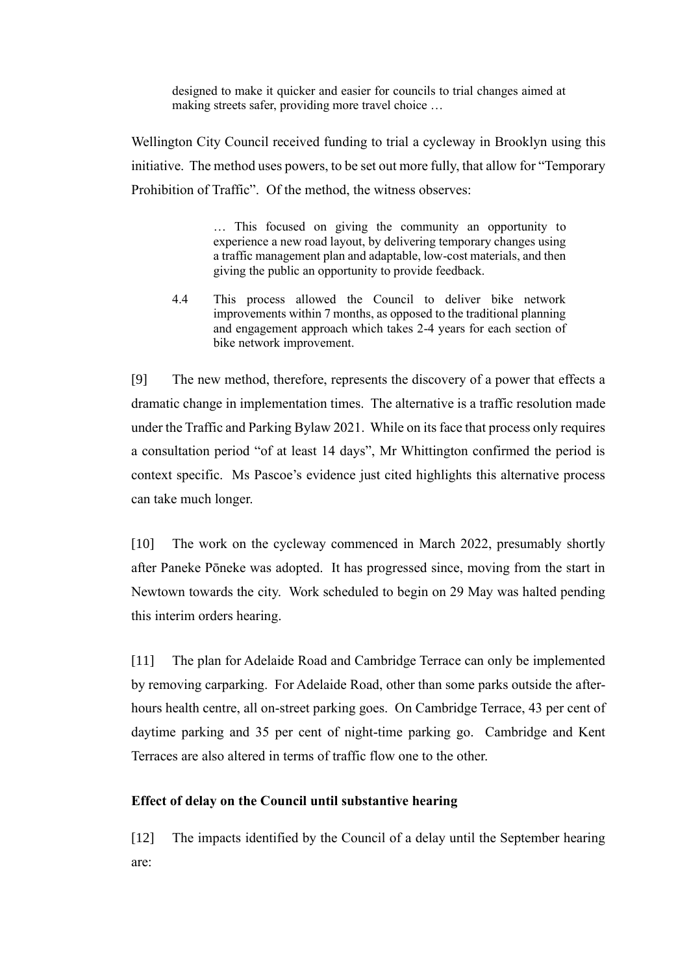designed to make it quicker and easier for councils to trial changes aimed at making streets safer, providing more travel choice …

Wellington City Council received funding to trial a cycleway in Brooklyn using this initiative. The method uses powers, to be set out more fully, that allow for "Temporary Prohibition of Traffic". Of the method, the witness observes:

> … This focused on giving the community an opportunity to experience a new road layout, by delivering temporary changes using a traffic management plan and adaptable, low-cost materials, and then giving the public an opportunity to provide feedback.

4.4 This process allowed the Council to deliver bike network improvements within 7 months, as opposed to the traditional planning and engagement approach which takes 2-4 years for each section of bike network improvement.

[9] The new method, therefore, represents the discovery of a power that effects a dramatic change in implementation times. The alternative is a traffic resolution made under the Traffic and Parking Bylaw 2021. While on its face that process only requires a consultation period "of at least 14 days", Mr Whittington confirmed the period is context specific. Ms Pascoe's evidence just cited highlights this alternative process can take much longer.

[10] The work on the cycleway commenced in March 2022, presumably shortly after Paneke Pōneke was adopted. It has progressed since, moving from the start in Newtown towards the city. Work scheduled to begin on 29 May was halted pending this interim orders hearing.

[11] The plan for Adelaide Road and Cambridge Terrace can only be implemented by removing carparking. For Adelaide Road, other than some parks outside the afterhours health centre, all on-street parking goes. On Cambridge Terrace, 43 per cent of daytime parking and 35 per cent of night-time parking go. Cambridge and Kent Terraces are also altered in terms of traffic flow one to the other.

#### **Effect of delay on the Council until substantive hearing**

[12] The impacts identified by the Council of a delay until the September hearing are: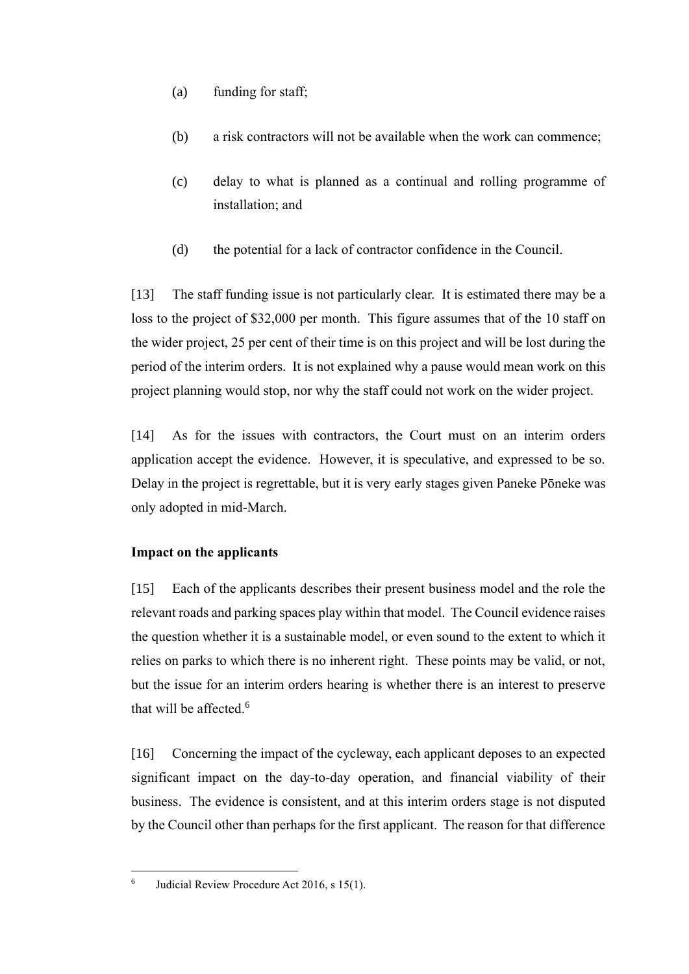- (a) funding for staff;
- (b) a risk contractors will not be available when the work can commence;
- (c) delay to what is planned as a continual and rolling programme of installation; and
- (d) the potential for a lack of contractor confidence in the Council.

[13] The staff funding issue is not particularly clear. It is estimated there may be a loss to the project of \$32,000 per month. This figure assumes that of the 10 staff on the wider project, 25 per cent of their time is on this project and will be lost during the period of the interim orders. It is not explained why a pause would mean work on this project planning would stop, nor why the staff could not work on the wider project.

[14] As for the issues with contractors, the Court must on an interim orders application accept the evidence. However, it is speculative, and expressed to be so. Delay in the project is regrettable, but it is very early stages given Paneke Pōneke was only adopted in mid-March.

# **Impact on the applicants**

[15] Each of the applicants describes their present business model and the role the relevant roads and parking spaces play within that model. The Council evidence raises the question whether it is a sustainable model, or even sound to the extent to which it relies on parks to which there is no inherent right. These points may be valid, or not, but the issue for an interim orders hearing is whether there is an interest to preserve that will be affected. $6$ 

[16] Concerning the impact of the cycleway, each applicant deposes to an expected significant impact on the day-to-day operation, and financial viability of their business. The evidence is consistent, and at this interim orders stage is not disputed by the Council other than perhaps for the first applicant. The reason for that difference

6 Judicial Review Procedure Act 2016, s 15(1).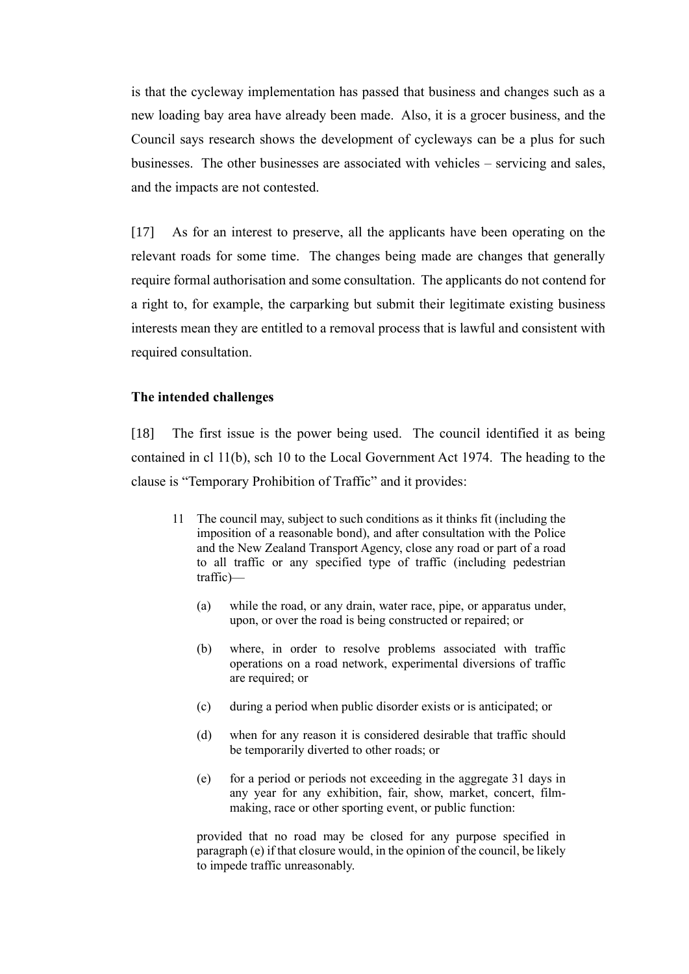is that the cycleway implementation has passed that business and changes such as a new loading bay area have already been made. Also, it is a grocer business, and the Council says research shows the development of cycleways can be a plus for such businesses. The other businesses are associated with vehicles – servicing and sales, and the impacts are not contested.

[17] As for an interest to preserve, all the applicants have been operating on the relevant roads for some time. The changes being made are changes that generally require formal authorisation and some consultation. The applicants do not contend for a right to, for example, the carparking but submit their legitimate existing business interests mean they are entitled to a removal process that is lawful and consistent with required consultation.

### **The intended challenges**

[18] The first issue is the power being used. The council identified it as being contained in cl 11(b), sch 10 to the Local Government Act 1974. The heading to the clause is "Temporary Prohibition of Traffic" and it provides:

- 11 The council may, subject to such conditions as it thinks fit (including the imposition of a reasonable bond), and after consultation with the Police and the New Zealand Transport Agency, close any road or part of a road to all traffic or any specified type of traffic (including pedestrian traffic)—
	- (a) while the road, or any drain, water race, pipe, or apparatus under, upon, or over the road is being constructed or repaired; or
	- (b) where, in order to resolve problems associated with traffic operations on a road network, experimental diversions of traffic are required; or
	- (c) during a period when public disorder exists or is anticipated; or
	- (d) when for any reason it is considered desirable that traffic should be temporarily diverted to other roads; or
	- (e) for a period or periods not exceeding in the aggregate 31 days in any year for any exhibition, fair, show, market, concert, filmmaking, race or other sporting event, or public function:

provided that no road may be closed for any purpose specified in paragraph (e) if that closure would, in the opinion of the council, be likely to impede traffic unreasonably.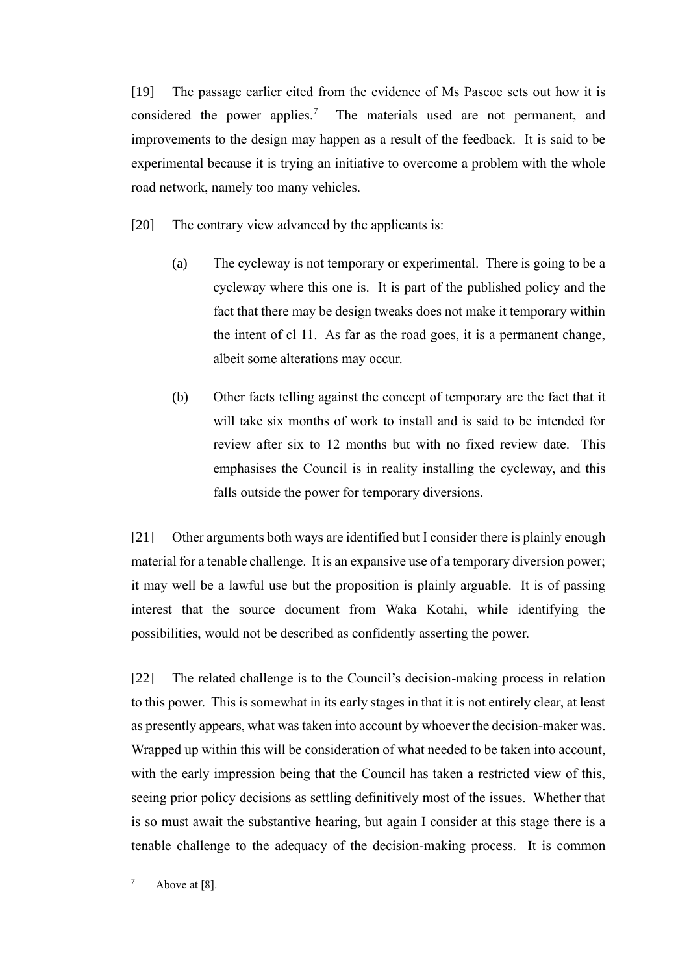[19] The passage earlier cited from the evidence of Ms Pascoe sets out how it is considered the power applies.<sup>7</sup> The materials used are not permanent, and improvements to the design may happen as a result of the feedback. It is said to be experimental because it is trying an initiative to overcome a problem with the whole road network, namely too many vehicles.

[20] The contrary view advanced by the applicants is:

- (a) The cycleway is not temporary or experimental. There is going to be a cycleway where this one is. It is part of the published policy and the fact that there may be design tweaks does not make it temporary within the intent of cl 11. As far as the road goes, it is a permanent change, albeit some alterations may occur.
- (b) Other facts telling against the concept of temporary are the fact that it will take six months of work to install and is said to be intended for review after six to 12 months but with no fixed review date. This emphasises the Council is in reality installing the cycleway, and this falls outside the power for temporary diversions.

[21] Other arguments both ways are identified but I consider there is plainly enough material for a tenable challenge. It is an expansive use of a temporary diversion power; it may well be a lawful use but the proposition is plainly arguable. It is of passing interest that the source document from Waka Kotahi, while identifying the possibilities, would not be described as confidently asserting the power.

[22] The related challenge is to the Council's decision-making process in relation to this power. This is somewhat in its early stages in that it is not entirely clear, at least as presently appears, what was taken into account by whoever the decision-maker was. Wrapped up within this will be consideration of what needed to be taken into account, with the early impression being that the Council has taken a restricted view of this, seeing prior policy decisions as settling definitively most of the issues. Whether that is so must await the substantive hearing, but again I consider at this stage there is a tenable challenge to the adequacy of the decision-making process. It is common

 $7$  Above at [8].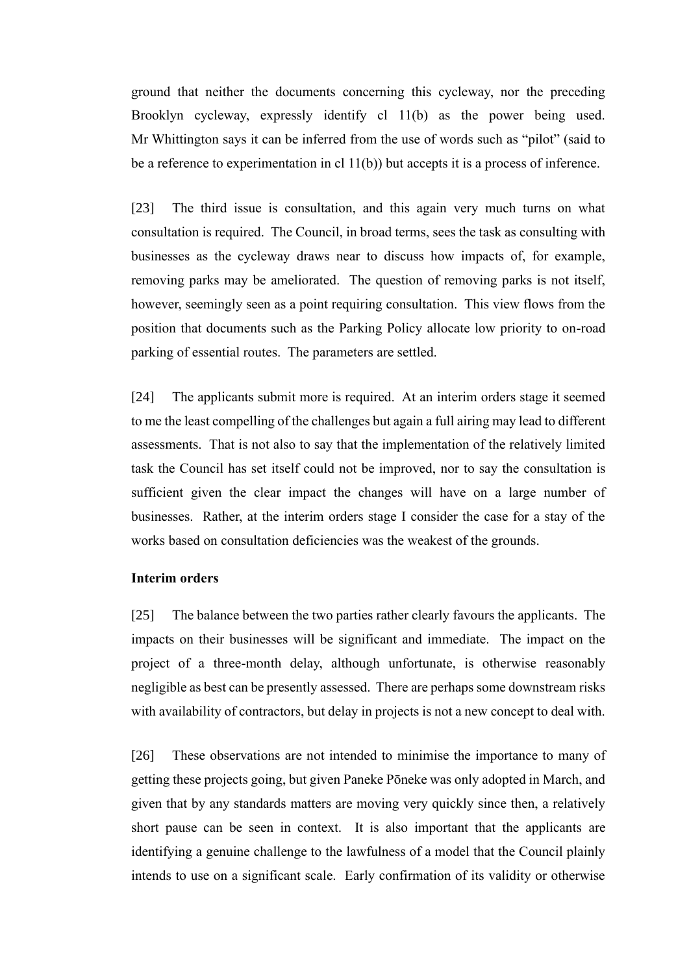ground that neither the documents concerning this cycleway, nor the preceding Brooklyn cycleway, expressly identify cl 11(b) as the power being used. Mr Whittington says it can be inferred from the use of words such as "pilot" (said to be a reference to experimentation in cl  $11(b)$ ) but accepts it is a process of inference.

[23] The third issue is consultation, and this again very much turns on what consultation is required. The Council, in broad terms, sees the task as consulting with businesses as the cycleway draws near to discuss how impacts of, for example, removing parks may be ameliorated. The question of removing parks is not itself, however, seemingly seen as a point requiring consultation. This view flows from the position that documents such as the Parking Policy allocate low priority to on-road parking of essential routes. The parameters are settled.

[24] The applicants submit more is required. At an interim orders stage it seemed to me the least compelling of the challenges but again a full airing may lead to different assessments. That is not also to say that the implementation of the relatively limited task the Council has set itself could not be improved, nor to say the consultation is sufficient given the clear impact the changes will have on a large number of businesses. Rather, at the interim orders stage I consider the case for a stay of the works based on consultation deficiencies was the weakest of the grounds.

#### **Interim orders**

[25] The balance between the two parties rather clearly favours the applicants. The impacts on their businesses will be significant and immediate. The impact on the project of a three-month delay, although unfortunate, is otherwise reasonably negligible as best can be presently assessed. There are perhaps some downstream risks with availability of contractors, but delay in projects is not a new concept to deal with.

[26] These observations are not intended to minimise the importance to many of getting these projects going, but given Paneke Pōneke was only adopted in March, and given that by any standards matters are moving very quickly since then, a relatively short pause can be seen in context. It is also important that the applicants are identifying a genuine challenge to the lawfulness of a model that the Council plainly intends to use on a significant scale. Early confirmation of its validity or otherwise